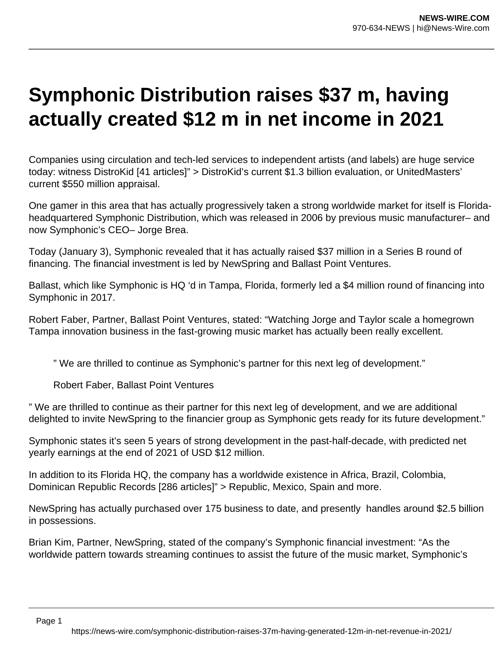## **Symphonic Distribution raises \$37 m, having actually created \$12 m in net income in 2021**

Companies using circulation and tech-led services to independent artists (and labels) are huge service today: witness DistroKid [41 articles]" > DistroKid's current \$1.3 billion evaluation, or UnitedMasters' current \$550 million appraisal.

One gamer in this area that has actually progressively taken a strong worldwide market for itself is Floridaheadquartered Symphonic Distribution, which was released in 2006 by previous music manufacturer– and now Symphonic's CEO– Jorge Brea.

Today (January 3), Symphonic revealed that it has actually raised \$37 million in a Series B round of financing. The financial investment is led by NewSpring and Ballast Point Ventures.

Ballast, which like Symphonic is HQ 'd in Tampa, Florida, formerly led a \$4 million round of financing into Symphonic in 2017.

Robert Faber, Partner, Ballast Point Ventures, stated: "Watching Jorge and Taylor scale a homegrown Tampa innovation business in the fast-growing music market has actually been really excellent.

" We are thrilled to continue as Symphonic's partner for this next leg of development."

Robert Faber, Ballast Point Ventures

" We are thrilled to continue as their partner for this next leg of development, and we are additional delighted to invite NewSpring to the financier group as Symphonic gets ready for its future development."

Symphonic states it's seen 5 years of strong development in the past-half-decade, with predicted net yearly earnings at the end of 2021 of USD \$12 million.

In addition to its Florida HQ, the company has a worldwide existence in Africa, Brazil, Colombia, Dominican Republic Records [286 articles]" > Republic, Mexico, Spain and more.

NewSpring has actually purchased over 175 business to date, and presently handles around \$2.5 billion in possessions.

Brian Kim, Partner, NewSpring, stated of the company's Symphonic financial investment: "As the worldwide pattern towards streaming continues to assist the future of the music market, Symphonic's